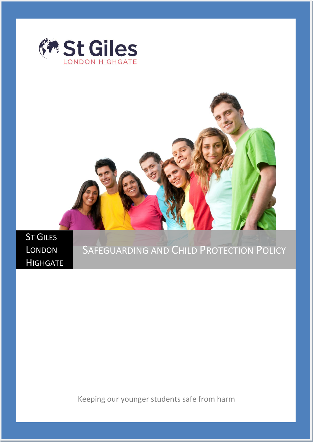



ST GILES LONDON **HIGHGATE** 

# SAFEGUARDING AND CHILD PROTECTION POLICY

Keeping our younger students safe from harm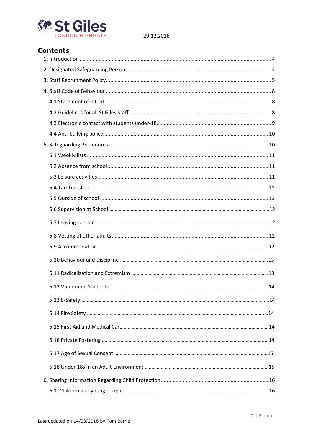

## **Contents**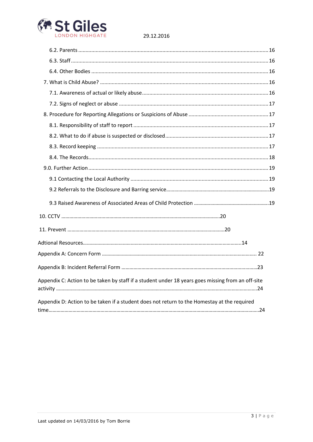

| Appendix C: Action to be taken by staff if a student under 18 years goes missing from an off-site |  |
|---------------------------------------------------------------------------------------------------|--|
| Appendix D: Action to be taken if a student does not return to the Homestay at the required       |  |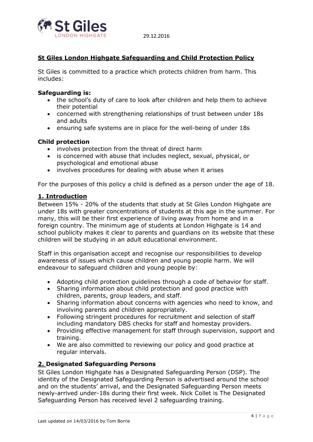

## **St Giles London Highgate Safeguarding and Child Protection Policy**

St Giles is committed to a practice which protects children from harm. This includes:

#### **Safeguarding is:**

- the school's duty of care to look after children and help them to achieve their potential
- concerned with strengthening relationships of trust between under 18s and adults
- ensuring safe systems are in place for the well-being of under 18s

#### **Child protection**

- involves protection from the threat of direct harm
- is concerned with abuse that includes neglect, sexual, physical, or psychological and emotional abuse
- involves procedures for dealing with abuse when it arises

For the purposes of this policy a child is defined as a person under the age of 18.

## <span id="page-3-0"></span>**1. Introduction**

Between 15% - 20% of the students that study at St Giles London Highgate are under 18s with greater concentrations of students at this age in the summer. For many, this will be their first experience of living away from home and in a foreign country. The minimum age of students at London Highgate is 14 and school publicity makes it clear to parents and guardians on its website that these children will be studying in an adult educational environment.

Staff in this organisation accept and recognise our responsibilities to develop awareness of issues which cause children and young people harm. We will endeavour to safeguard children and young people by:

- Adopting child protection guidelines through a code of behavior for staff.
- Sharing information about child protection and good practice with children, parents, group leaders, and staff.
- Sharing information about concerns with agencies who need to know, and involving parents and children appropriately.
- Following stringent procedures for recruitment and selection of staff including mandatory DBS checks for staff and homestay providers.
- Providing effective management for staff through supervision, support and training.
- We are also committed to reviewing our policy and good practice at regular intervals.

## <span id="page-3-1"></span>**2. Designated Safeguarding Persons**

St Giles London Highgate has a Designated Safeguarding Person (DSP). The identity of the Designated Safeguarding Person is advertised around the school and on the students' arrival, and the Designated Safeguarding Person meets newly-arrived under-18s during their first week. Nick Collet is The Designated Safeguarding Person has received level 2 safeguarding training.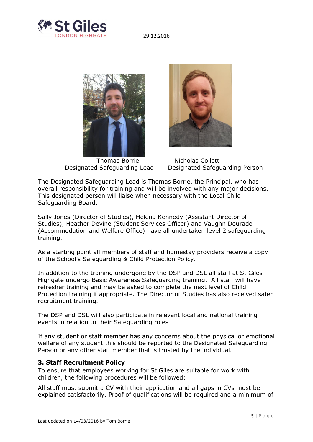



Thomas Borrie Nicholas Collett



Designated Safeguarding Lead Designated Safeguarding Person

The Designated Safeguarding Lead is Thomas Borrie, the Principal, who has overall responsibility for training and will be involved with any major decisions. This designated person will liaise when necessary with the Local Child Safeguarding Board.

Sally Jones (Director of Studies), Helena Kennedy (Assistant Director of Studies), Heather Devine (Student Services Officer) and Vaughn Dourado (Accommodation and Welfare Office) have all undertaken level 2 safeguarding training.

As a starting point all members of staff and homestay providers receive a copy of the School's Safeguarding & Child Protection Policy.

In addition to the training undergone by the DSP and DSL all staff at St Giles Highgate undergo Basic Awareness Safeguarding training. All staff will have refresher training and may be asked to complete the next level of Child Protection training if appropriate. The Director of Studies has also received safer recruitment training.

The DSP and DSL will also participate in relevant local and national training events in relation to their Safeguarding roles

If any student or staff member has any concerns about the physical or emotional welfare of any student this should be reported to the Designated Safeguarding Person or any other staff member that is trusted by the individual.

## <span id="page-4-0"></span>**3. Staff Recruitment Policy**

To ensure that employees working for St Giles are suitable for work with children, the following procedures will be followed:

All staff must submit a CV with their application and all gaps in CVs must be explained satisfactorily. Proof of qualifications will be required and a minimum of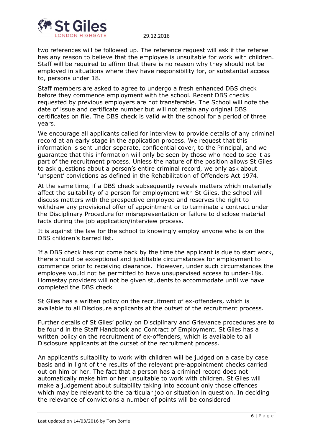

two references will be followed up. The reference request will ask if the referee has any reason to believe that the employee is unsuitable for work with children. Staff will be required to affirm that there is no reason why they should not be employed in situations where they have responsibility for, or substantial access to, persons under 18.

Staff members are asked to agree to undergo a fresh enhanced DBS check before they commence employment with the school. Recent DBS checks requested by previous employers are not transferable. The School will note the date of issue and certificate number but will not retain any original DBS certificates on file. The DBS check is valid with the school for a period of three years.

We encourage all applicants called for interview to provide details of any criminal record at an early stage in the application process. We request that this information is sent under separate, confidential cover, to the Principal, and we guarantee that this information will only be seen by those who need to see it as part of the recruitment process. Unless the nature of the position allows St Giles to ask questions about a person's entire criminal record, we only ask about 'unspent' convictions as defined in the Rehabilitation of Offenders Act 1974.

At the same time, if a DBS check subsequently reveals matters which materially affect the suitability of a person for employment with St Giles, the school will discuss matters with the prospective employee and reserves the right to withdraw any provisional offer of appointment or to terminate a contract under the Disciplinary Procedure for misrepresentation or failure to disclose material facts during the job application/interview process.

It is against the law for the school to knowingly employ anyone who is on the DBS children's barred list.

If a DBS check has not come back by the time the applicant is due to start work, there should be exceptional and justifiable circumstances for employment to commence prior to receiving clearance. However, under such circumstances the employee would not be permitted to have unsupervised access to under-18s. Homestay providers will not be given students to accommodate until we have completed the DBS check

St Giles has a written policy on the recruitment of ex-offenders, which is available to all Disclosure applicants at the outset of the recruitment process.

Further details of St Giles' policy on Disciplinary and Grievance procedures are to be found in the Staff Handbook and Contract of Employment. St Giles has a written policy on the recruitment of ex-offenders, which is available to all Disclosure applicants at the outset of the recruitment process.

An applicant's suitability to work with children will be judged on a case by case basis and in light of the results of the relevant pre-appointment checks carried out on him or her. The fact that a person has a criminal record does not automatically make him or her unsuitable to work with children. St Giles will make a judgement about suitability taking into account only those offences which may be relevant to the particular job or situation in question. In deciding the relevance of convictions a number of points will be considered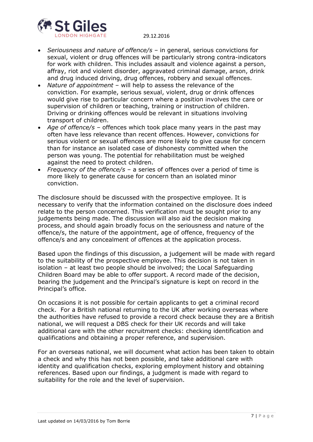

- *Seriousness and nature of offence/s* in general, serious convictions for sexual, violent or drug offences will be particularly strong contra-indicators for work with children. This includes assault and violence against a person, affray, riot and violent disorder, aggravated criminal damage, arson, drink and drug induced driving, drug offences, robbery and sexual offences.
- *Nature of appointment* will help to assess the relevance of the conviction. For example, serious sexual, violent, drug or drink offences would give rise to particular concern where a position involves the care or supervision of children or teaching, training or instruction of children. Driving or drinking offences would be relevant in situations involving transport of children.
- *Age of offence/s* offences which took place many years in the past may often have less relevance than recent offences. However, convictions for serious violent or sexual offences are more likely to give cause for concern than for instance an isolated case of dishonesty committed when the person was young. The potential for rehabilitation must be weighed against the need to protect children.
- *Frequency of the offence/s* a series of offences over a period of time is more likely to generate cause for concern than an isolated minor conviction.

The disclosure should be discussed with the prospective employee. It is necessary to verify that the information contained on the disclosure does indeed relate to the person concerned. This verification must be sought prior to any judgements being made. The discussion will also aid the decision making process, and should again broadly focus on the seriousness and nature of the offence/s, the nature of the appointment, age of offence, frequency of the offence/s and any concealment of offences at the application process.

Based upon the findings of this discussion, a judgement will be made with regard to the suitability of the prospective employee. This decision is not taken in isolation – at least two people should be involved; the Local Safeguarding Children Board may be able to offer support. A record made of the decision, bearing the judgement and the Principal's signature is kept on record in the Principal's office.

On occasions it is not possible for certain applicants to get a criminal record check. For a British national returning to the UK after working overseas where the authorities have refused to provide a record check because they are a British national, we will request a DBS check for their UK records and will take additional care with the other recruitment checks: checking identification and qualifications and obtaining a proper reference, and supervision.

For an overseas national, we will document what action has been taken to obtain a check and why this has not been possible, and take additional care with identity and qualification checks, exploring employment history and obtaining references. Based upon our findings, a judgment is made with regard to suitability for the role and the level of supervision.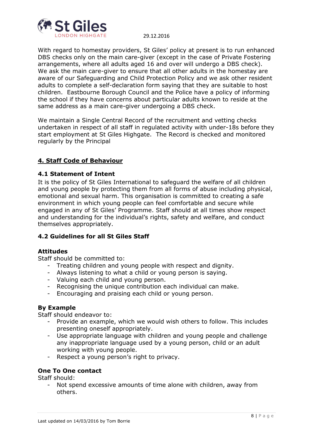

With regard to homestay providers, St Giles' policy at present is to run enhanced DBS checks only on the main care-giver (except in the case of Private Fostering arrangements, where all adults aged 16 and over will undergo a DBS check). We ask the main care-giver to ensure that all other adults in the homestay are aware of our Safeguarding and Child Protection Policy and we ask other resident adults to complete a self-declaration form saying that they are suitable to host children. Eastbourne Borough Council and the Police have a policy of informing the school if they have concerns about particular adults known to reside at the same address as a main care-giver undergoing a DBS check.

We maintain a Single Central Record of the recruitment and vetting checks undertaken in respect of all staff in regulated activity with under-18s before they start employment at St Giles Highgate. The Record is checked and monitored regularly by the Principal

## <span id="page-7-0"></span>**4. Staff Code of Behaviour**

## <span id="page-7-1"></span>**4.1 Statement of Intent**

It is the policy of St Giles International to safeguard the welfare of all children and young people by protecting them from all forms of abuse including physical, emotional and sexual harm. This organisation is committed to creating a safe environment in which young people can feel comfortable and secure while engaged in any of St Giles' Programme. Staff should at all times show respect and understanding for the individual's rights, safety and welfare, and conduct themselves appropriately.

## <span id="page-7-2"></span>**4.2 Guidelines for all St Giles Staff**

#### **Attitudes**

Staff should be committed to:

- Treating children and young people with respect and dignity.
- Always listening to what a child or young person is saying.
- Valuing each child and young person.
- Recognising the unique contribution each individual can make.
- Encouraging and praising each child or young person.

## **By Example**

Staff should endeavor to:

- Provide an example, which we would wish others to follow. This includes presenting oneself appropriately.
- Use appropriate language with children and young people and challenge any inappropriate language used by a young person, child or an adult working with young people.
- Respect a young person's right to privacy.

## **One To One contact**

Staff should:

- Not spend excessive amounts of time alone with children, away from others.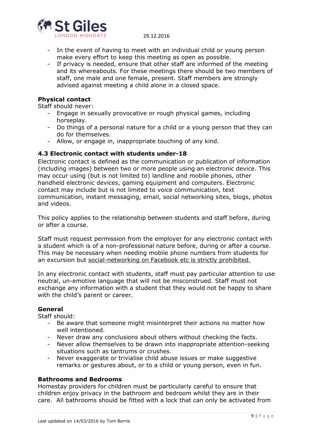

- In the event of having to meet with an individual child or young person make every effort to keep this meeting as open as possible.
- If privacy is needed, ensure that other staff are informed of the meeting and its whereabouts. For these meetings there should be two members of staff, one male and one female, present. Staff members are strongly advised against meeting a child alone in a closed space.

## **Physical contact**

Staff should never:

- Engage in sexually provocative or rough physical games, including horseplay.
- Do things of a personal nature for a child or a young person that they can do for themselves.
- Allow, or engage in, inappropriate touching of any kind.

#### <span id="page-8-0"></span>**4.3 Electronic contact with students under-18**

Electronic contact is defined as the communication or publication of information (including images) between two or more people using an electronic device. This may occur using (but is not limited to) landline and mobile phones, other handheld electronic devices, gaming equipment and computers. Electronic contact may include but is not limited to voice communication, text communication, instant messaging, email, social networking sites, blogs, photos and videos.

This policy applies to the relationship between students and staff before, during or after a course.

Staff must request permission from the employer for any electronic contact with a student which is of a non-professional nature before, during or after a course. This may be necessary when needing mobile phone numbers from students for an excursion but social-networking on Facebook etc is strictly prohibited.

In any electronic contact with students, staff must pay particular attention to use neutral, un-emotive language that will not be misconstrued. Staff must not exchange any information with a student that they would not be happy to share with the child's parent or career.

#### **General**

Staff should:

- Be aware that someone might misinterpret their actions no matter how well intentioned.
- Never draw any conclusions about others without checking the facts.
- Never allow themselves to be drawn into inappropriate attention-seeking situations such as tantrums or crushes.
- Never exaggerate or trivialise child abuse issues or make suggestive remarks or gestures about, or to a child or young person, even in fun.

#### **Bathrooms and Bedrooms**

Homestay providers for children must be particularly careful to ensure that children enjoy privacy in the bathroom and bedroom whilst they are in their care. All bathrooms should be fitted with a lock that can only be activated from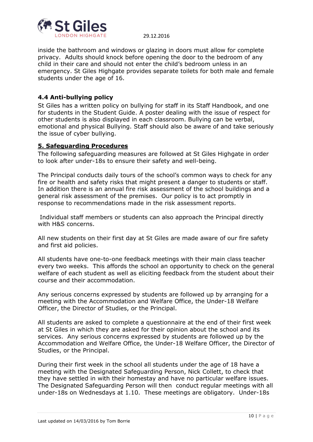

inside the bathroom and windows or glazing in doors must allow for complete privacy. Adults should knock before opening the door to the bedroom of any child in their care and should not enter the child's bedroom unless in an emergency. St Giles Highgate provides separate toilets for both male and female students under the age of 16.

## <span id="page-9-0"></span>**4.4 Anti-bullying policy**

St Giles has a written policy on bullying for staff in its Staff Handbook, and one for students in the Student Guide. A poster dealing with the issue of respect for other students is also displayed in each classroom. Bullying can be verbal, emotional and physical Bullying. Staff should also be aware of and take seriously the issue of cyber bullying.

## <span id="page-9-1"></span>**5. Safeguarding Procedures**

The following safeguarding measures are followed at St Giles Highgate in order to look after under-18s to ensure their safety and well-being.

The Principal conducts daily tours of the school's common ways to check for any fire or health and safety risks that might present a danger to students or staff. In addition there is an annual fire risk assessment of the school buildings and a general risk assessment of the premises. Our policy is to act promptly in response to recommendations made in the risk assessment reports.

Individual staff members or students can also approach the Principal directly with H&S concerns.

All new students on their first day at St Giles are made aware of our fire safety and first aid policies.

All students have one-to-one feedback meetings with their main class teacher every two weeks. This affords the school an opportunity to check on the general welfare of each student as well as eliciting feedback from the student about their course and their accommodation.

Any serious concerns expressed by students are followed up by arranging for a meeting with the Accommodation and Welfare Office, the Under-18 Welfare Officer, the Director of Studies, or the Principal.

All students are asked to complete a questionnaire at the end of their first week at St Giles in which they are asked for their opinion about the school and its services. Any serious concerns expressed by students are followed up by the Accommodation and Welfare Office, the Under-18 Welfare Officer, the Director of Studies, or the Principal.

During their first week in the school all students under the age of 18 have a meeting with the Designated Safeguarding Person, Nick Collett, to check that they have settled in with their homestay and have no particular welfare issues. The Designated Safeguarding Person will then conduct regular meetings with all under-18s on Wednesdays at 1.10. These meetings are obligatory. Under-18s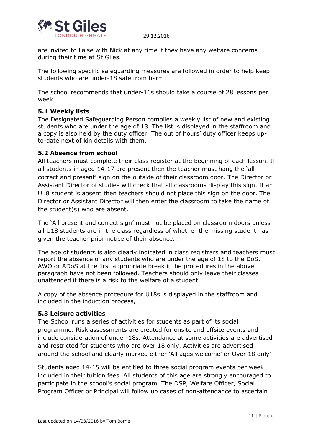

are invited to liaise with Nick at any time if they have any welfare concerns during their time at St Giles.

The following specific safeguarding measures are followed in order to help keep students who are under-18 safe from harm:

The school recommends that under-16s should take a course of 28 lessons per week

## <span id="page-10-0"></span>**5.1 Weekly lists**

The Designated Safeguarding Person compiles a weekly list of new and existing students who are under the age of 18. The list is displayed in the staffroom and a copy is also held by the duty officer. The out of hours' duty officer keeps upto-date next of kin details with them.

#### <span id="page-10-1"></span>**5.2 Absence from school**

All teachers must complete their class register at the beginning of each lesson. If all students in aged 14-17 are present then the teacher must hang the 'all correct and present' sign on the outside of their classroom door. The Director or Assistant Director of studies will check that all classrooms display this sign. If an U18 student is absent then teachers should not place this sign on the door. The Director or Assistant Director will then enter the classroom to take the name of the student(s) who are absent.

The 'All present and correct sign' must not be placed on classroom doors unless all U18 students are in the class regardless of whether the missing student has given the teacher prior notice of their absence. .

The age of students is also clearly indicated in class registrars and teachers must report the absence of any students who are under the age of 18 to the DoS, AWO or ADoS at the first appropriate break if the procedures in the above paragraph have not been followed. Teachers should only leave their classes unattended if there is a risk to the welfare of a student.

A copy of the absence procedure for U18s is displayed in the staffroom and included in the induction process,

## <span id="page-10-2"></span>**5.3 Leisure activities**

The School runs a series of activities for students as part of its social programme. Risk assessments are created for onsite and offsite events and include consideration of under-18s. Attendance at some activities are advertised and restricted for students who are over 18 only. Activities are advertised around the school and clearly marked either 'All ages welcome' or Over 18 only'

Students aged 14-15 will be entitled to three social program events per week included in their tuition fees. All students of this age are strongly encouraged to participate in the school's social program. The DSP, Welfare Officer, Social Program Officer or Principal will follow up cases of non-attendance to ascertain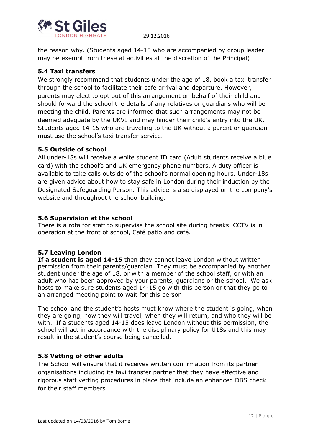

the reason why. (Students aged 14-15 who are accompanied by group leader may be exempt from these at activities at the discretion of the Principal)

## <span id="page-11-0"></span>**5.4 Taxi transfers**

We strongly recommend that students under the age of 18, book a taxi transfer through the school to facilitate their safe arrival and departure. However, parents may elect to opt out of this arrangement on behalf of their child and should forward the school the details of any relatives or guardians who will be meeting the child. Parents are informed that such arrangements may not be deemed adequate by the UKVI and may hinder their child's entry into the UK. Students aged 14-15 who are traveling to the UK without a parent or guardian must use the school's taxi transfer service.

## <span id="page-11-1"></span>**5.5 Outside of school**

All under-18s will receive a white student ID card (Adult students receive a blue card) with the school's and UK emergency phone numbers. A duty officer is available to take calls outside of the school's normal opening hours. Under-18s are given advice about how to stay safe in London during their induction by the Designated Safeguarding Person. This advice is also displayed on the company's website and throughout the school building.

## **5.6 Supervision at the school**

There is a rota for staff to supervise the school site during breaks. CCTV is in operation at the front of school, Café patio and café.

## **5.7 Leaving London**

**If a student is aged 14-15** then they cannot leave London without written permission from their parents/guardian. They must be accompanied by another student under the age of 18, or with a member of the school staff, or with an adult who has been approved by your parents, guardians or the school. We ask hosts to make sure students aged 14-15 go with this person or that they go to an arranged meeting point to wait for this person

The school and the student's hosts must know where the student is going, when they are going, how they will travel, when they will return, and who they will be with. If a students aged 14-15 does leave London without this permission, the school will act in accordance with the disciplinary policy for U18s and this may result in the student's course being cancelled.

## <span id="page-11-2"></span>**5.8 Vetting of other adults**

The School will ensure that it receives written confirmation from its partner organisations including its taxi transfer partner that they have effective and rigorous staff vetting procedures in place that include an enhanced DBS check for their staff members.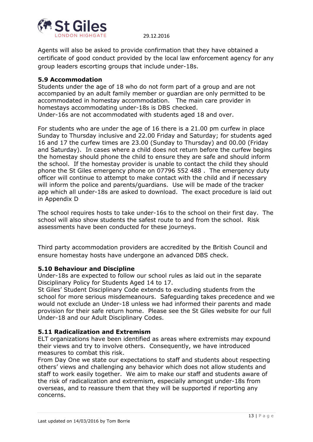

Agents will also be asked to provide confirmation that they have obtained a certificate of good conduct provided by the local law enforcement agency for any group leaders escorting groups that include under-18s.

## **5.9 Accommodation**

Students under the age of 18 who do not form part of a group and are not accompanied by an adult family member or guardian are only permitted to be accommodated in homestay accommodation. The main care provider in homestays accommodating under-18s is DBS checked. Under-16s are not accommodated with students aged 18 and over.

For students who are under the age of 16 there is a 21.00 pm curfew in place Sunday to Thursday inclusive and 22.00 Friday and Saturday; for students aged 16 and 17 the curfew times are 23.00 (Sunday to Thursday) and 00.00 (Friday and Saturday). In cases where a child does not return before the curfew begins the homestay should phone the child to ensure they are safe and should inform the school. If the homestay provider is unable to contact the child they should phone the St Giles emergency phone on 07796 552 488 . The emergency duty officer will continue to attempt to make contact with the child and if necessary will inform the police and parents/guardians. Use will be made of the tracker app which all under-18s are asked to download. The exact procedure is laid out in Appendix D

The school requires hosts to take under-16s to the school on their first day. The school will also show students the safest route to and from the school. Risk assessments have been conducted for these journeys.

Third party accommodation providers are accredited by the British Council and ensure homestay hosts have undergone an advanced DBS check.

## **5.10 Behaviour and Discipline**

Under-18s are expected to follow our school rules as laid out in the separate Disciplinary Policy for Students Aged 14 to 17.

St Giles' Student Disciplinary Code extends to excluding students from the school for more serious misdemeanours. Safeguarding takes precedence and we would not exclude an Under-18 unless we had informed their parents and made provision for their safe return home. Please see the St Giles website for our full Under-18 and our Adult Disciplinary Codes.

## **5.11 Radicalization and Extremism**

ELT organizations have been identified as areas where extremists may expound their views and try to involve others. Consequently, we have introduced measures to combat this risk.

From Day One we state our expectations to staff and students about respecting others' views and challenging any behavior which does not allow students and staff to work easily together. We aim to make our staff and students aware of the risk of radicalization and extremism, especially amongst under-18s from overseas, and to reassure them that they will be supported if reporting any concerns.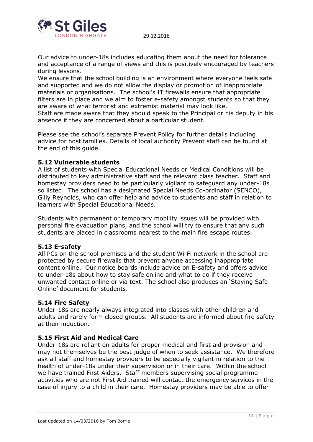

Our advice to under-18s includes educating them about the need for tolerance and acceptance of a range of views and this is positively encouraged by teachers during lessons.

We ensure that the school building is an environment where everyone feels safe and supported and we do not allow the display or promotion of inappropriate materials or organisations. The school's IT firewalls ensure that appropriate filters are in place and we aim to foster e-safety amongst students so that they are aware of what terrorist and extremist material may look like.

Staff are made aware that they should speak to the Principal or his deputy in his absence if they are concerned about a particular student.

Please see the school's separate Prevent Policy for further details including advice for host families. Details of local authority Prevent staff can be found at the end of this guide.

#### **5.12 Vulnerable students**

A list of students with Special Educational Needs or Medical Conditions will be distributed to key administrative staff and the relevant class teacher. Staff and homestay providers need to be particularly vigilant to safeguard any under-18s so listed. The school has a designated Special Needs Co-ordinator (SENCO), Gilly Reynolds, who can offer help and advice to students and staff in relation to learners with Special Educational Needs.

Students with permanent or temporary mobility issues will be provided with personal fire evacuation plans, and the school will try to ensure that any such students are placed in classrooms nearest to the main fire escape routes.

#### **5.13 E-safety**

All PCs on the school premises and the student Wi-Fi network in the school are protected by secure firewalls that prevent anyone accessing inappropriate content online. Our notice boards include advice on E-safety and offers advice to under-18s about how to stay safe online and what to do if they receive unwanted contact online or via text. The school also produces an 'Staying Safe Online' document for students.

#### **5.14 Fire Safety**

Under-18s are nearly always integrated into classes with other children and adults and rarely form closed groups. All students are informed about fire safety at their induction.

#### **5.15 First Aid and Medical Care**

Under-18s are reliant on adults for proper medical and first aid provision and may not themselves be the best judge of when to seek assistance. We therefore ask all staff and homestay providers to be especially vigilant in relation to the health of under-18s under their supervision or in their care. Within the school we have trained First Aiders. Staff members supervising social programme activities who are not First Aid trained will contact the emergency services in the case of injury to a child in their care. Homestay providers may be able to offer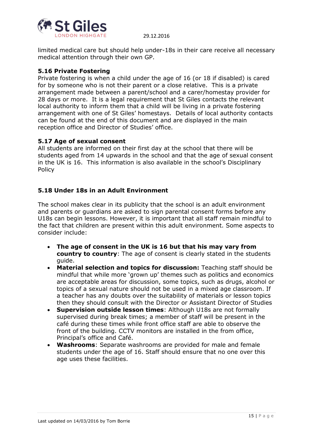

limited medical care but should help under-18s in their care receive all necessary medical attention through their own GP.

## **5.16 Private Fostering**

Private fostering is when a child under the age of 16 (or 18 if disabled) is cared for by someone who is not their parent or a close relative. This is a private arrangement made between a parent/school and a carer/homestay provider for 28 days or more. It is a legal requirement that St Giles contacts the relevant local authority to inform them that a child will be living in a private fostering arrangement with one of St Giles' homestays. Details of local authority contacts can be found at the end of this document and are displayed in the main reception office and Director of Studies' office.

## **5.17 Age of sexual consent**

All students are informed on their first day at the school that there will be students aged from 14 upwards in the school and that the age of sexual consent in the UK is 16. This information is also available in the school's Disciplinary Policy

## **5.18 Under 18s in an Adult Environment**

The school makes clear in its publicity that the school is an adult environment and parents or guardians are asked to sign parental consent forms before any U18s can begin lessons. However, it is important that all staff remain mindful to the fact that children are present within this adult environment. Some aspects to consider include:

- **The age of consent in the UK is 16 but that his may vary from country to country**: The age of consent is clearly stated in the students guide.
- **Material selection and topics for discussion:** Teaching staff should be mindful that while more 'grown up' themes such as politics and economics are acceptable areas for discussion, some topics, such as drugs, alcohol or topics of a sexual nature should not be used in a mixed age classroom. If a teacher has any doubts over the suitability of materials or lesson topics then they should consult with the Director or Assistant Director of Studies
- **Supervision outside lesson times**: Although U18s are not formally supervised during break times; a member of staff will be present in the café during these times while front office staff are able to observe the front of the building. CCTV monitors are installed in the from office, Principal's office and Café.
- **Washrooms**: Separate washrooms are provided for male and female students under the age of 16. Staff should ensure that no one over this age uses these facilities.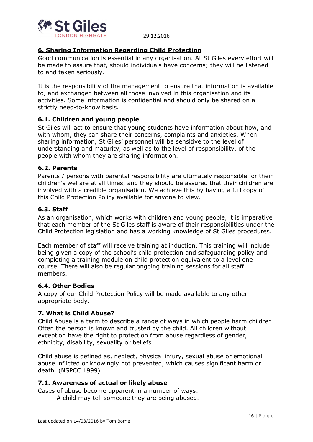

## <span id="page-15-0"></span>**6. Sharing Information Regarding Child Protection**

Good communication is essential in any organisation. At St Giles every effort will be made to assure that, should individuals have concerns; they will be listened to and taken seriously.

It is the responsibility of the management to ensure that information is available to, and exchanged between all those involved in this organisation and its activities. Some information is confidential and should only be shared on a strictly need-to-know basis.

## <span id="page-15-1"></span>**6.1. Children and young people**

St Giles will act to ensure that young students have information about how, and with whom, they can share their concerns, complaints and anxieties. When sharing information, St Giles' personnel will be sensitive to the level of understanding and maturity, as well as to the level of responsibility, of the people with whom they are sharing information.

#### <span id="page-15-2"></span>**6.2. Parents**

Parents / persons with parental responsibility are ultimately responsible for their children's welfare at all times, and they should be assured that their children are involved with a credible organisation. We achieve this by having a full copy of this Child Protection Policy available for anyone to view.

#### <span id="page-15-3"></span>**6.3. Staff**

As an organisation, which works with children and young people, it is imperative that each member of the St Giles staff is aware of their responsibilities under the Child Protection legislation and has a working knowledge of St Giles procedures.

Each member of staff will receive training at induction. This training will include being given a copy of the school's child protection and safeguarding policy and completing a training module on child protection equivalent to a level one course. There will also be regular ongoing training sessions for all staff members.

#### <span id="page-15-4"></span>**6.4. Other Bodies**

A copy of our Child Protection Policy will be made available to any other appropriate body.

#### <span id="page-15-5"></span>**7. What is Child Abuse?**

Child Abuse is a term to describe a range of ways in which people harm children. Often the person is known and trusted by the child. All children without exception have the right to protection from abuse regardless of gender, ethnicity, disability, sexuality or beliefs.

Child abuse is defined as, neglect, physical injury, sexual abuse or emotional abuse inflicted or knowingly not prevented, which causes significant harm or death. (NSPCC 1999)

#### <span id="page-15-6"></span>**7.1. Awareness of actual or likely abuse**

Cases of abuse become apparent in a number of ways:

- A child may tell someone they are being abused.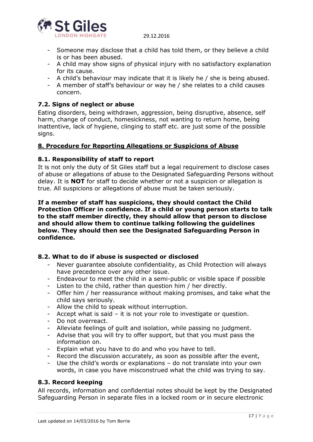

- Someone may disclose that a child has told them, or they believe a child is or has been abused.
- A child may show signs of physical injury with no satisfactory explanation for its cause.
- A child's behaviour may indicate that it is likely he / she is being abused.
- A member of staff's behaviour or way he / she relates to a child causes concern.

## <span id="page-16-0"></span>**7.2. Signs of neglect or abuse**

Eating disorders, being withdrawn, aggression, being disruptive, absence, self harm, change of conduct, homesickness, not wanting to return home, being inattentive, lack of hygiene, clinging to staff etc. are just some of the possible signs.

## <span id="page-16-1"></span>**8. Procedure for Reporting Allegations or Suspicions of Abuse**

#### <span id="page-16-2"></span>**8.1. Responsibility of staff to report**

It is not only the duty of St Giles staff but a legal requirement to disclose cases of abuse or allegations of abuse to the Designated Safeguarding Persons without delay. It is **NOT** for staff to decide whether or not a suspicion or allegation is true. All suspicions or allegations of abuse must be taken seriously.

#### **If a member of staff has suspicions, they should contact the Child Protection Officer in confidence. If a child or young person starts to talk to the staff member directly, they should allow that person to disclose and should allow them to continue talking following the guidelines below. They should then see the Designated Safeguarding Person in confidence.**

## <span id="page-16-3"></span>**8.2. What to do if abuse is suspected or disclosed**

- Never guarantee absolute confidentiality, as Child Protection will always have precedence over any other issue.
- Endeavour to meet the child in a semi-public or visible space if possible
- Listen to the child, rather than question him / her directly.
- Offer him / her reassurance without making promises, and take what the child says seriously.
- Allow the child to speak without interruption.
- Accept what is said it is not your role to investigate or question.
- Do not overreact.
- Alleviate feelings of guilt and isolation, while passing no judgment.
- Advise that you will try to offer support, but that you must pass the information on.
- Explain what you have to do and who you have to tell.
- Record the discussion accurately, as soon as possible after the event,
- Use the child's words or explanations do not translate into your own words, in case you have misconstrued what the child was trying to say.

## <span id="page-16-4"></span>**8.3. Record keeping**

All records, information and confidential notes should be kept by the Designated Safeguarding Person in separate files in a locked room or in secure electronic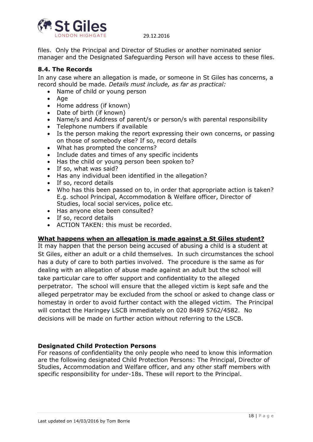

files. Only the Principal and Director of Studies or another nominated senior manager and the Designated Safeguarding Person will have access to these files.

## <span id="page-17-0"></span>**8.4. The Records**

In any case where an allegation is made, or someone in St Giles has concerns, a record should be made. *Details must include, as far as practical:*

- Name of child or young person
- Age
- Home address (if known)
- Date of birth (if known)
- Name/s and Address of parent/s or person/s with parental responsibility
- Telephone numbers if available
- Is the person making the report expressing their own concerns, or passing on those of somebody else? If so, record details
- What has prompted the concerns?
- Include dates and times of any specific incidents
- Has the child or young person been spoken to?
- If so, what was said?
- Has any individual been identified in the allegation?
- If so, record details
- Who has this been passed on to, in order that appropriate action is taken? E.g. school Principal, Accommodation & Welfare officer, Director of Studies, local social services, police etc.
- Has anyone else been consulted?
- If so, record details
- ACTION TAKEN: this must be recorded.

#### **What happens when an allegation is made against a St Giles student?**

It may happen that the person being accused of abusing a child is a student at St Giles, either an adult or a child themselves. In such circumstances the school has a duty of care to both parties involved. The procedure is the same as for dealing with an allegation of abuse made against an adult but the school will take particular care to offer support and confidentiality to the alleged perpetrator. The school will ensure that the alleged victim is kept safe and the alleged perpetrator may be excluded from the school or asked to change class or homestay in order to avoid further contact with the alleged victim. The Principal will contact the Haringey LSCB immediately on 020 8489 5762/4582. No decisions will be made on further action without referring to the LSCB.

#### **Designated Child Protection Persons**

For reasons of confidentiality the only people who need to know this information are the following designated Child Protection Persons: The Principal, Director of Studies, Accommodation and Welfare officer, and any other staff members with specific responsibility for under-18s. These will report to the Principal.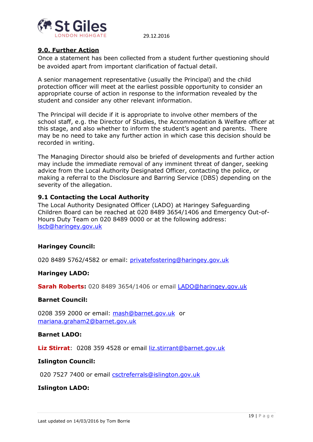

## <span id="page-18-0"></span>**9.0. Further Action**

Once a statement has been collected from a student further questioning should be avoided apart from important clarification of factual detail.

A senior management representative (usually the Principal) and the child protection officer will meet at the earliest possible opportunity to consider an appropriate course of action in response to the information revealed by the student and consider any other relevant information.

The Principal will decide if it is appropriate to involve other members of the school staff, e.g. the Director of Studies, the Accommodation & Welfare officer at this stage, and also whether to inform the student's agent and parents. There may be no need to take any further action in which case this decision should be recorded in writing.

The Managing Director should also be briefed of developments and further action may include the immediate removal of any imminent threat of danger, seeking advice from the Local Authority Designated Officer, contacting the police, or making a referral to the Disclosure and Barring Service (DBS) depending on the severity of the allegation.

## <span id="page-18-1"></span>**9.1 Contacting the Local Authority**

The Local Authority Designated Officer (LADO) at Haringey Safeguarding Children Board can be reached at 020 8489 3654/1406 and Emergency Out-of-Hours Duty Team on 020 8489 0000 or at the following address: [lscb@haringey.gov.uk](mailto:lscb@haringey.gov.uk)

#### **Haringey Council:**

020 8489 5762/4582 or email: [privatefostering@haringey.gov.uk](mailto:privatefostering@haringey.gov.uk)

#### **Haringey LADO:**

**Sarah Roberts:** 020 8489 3654/1406 or email [LADO@haringey.gov.uk](mailto:LADO@haringey.gov.uk)

#### **Barnet Council:**

0208 359 2000 or email: [mash@barnet.gov.uk](mailto:mash@barnet.gov.uk) or [mariana.graham2@barnet.gov.uk](mailto:mariana.graham2@barnet.gov.uk)

#### **Barnet LADO:**

**Liz Stirrat**: 0208 359 4528 or email [liz.stirrant@barnet.gov.uk](mailto:liz.stirrant@barnet.gov.uk)

#### **Islington Council:**

020 7527 7400 or email [csctreferrals@islington.gov.uk](mailto:csctreferrals@islington.gov.uk)

## **Islington LADO:**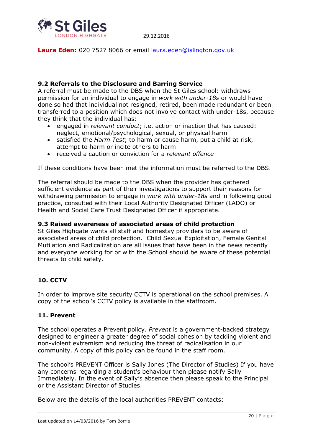

**Laura Eden**: 020 7527 8066 or email [laura.eden@islington.gov.uk](mailto:laura.eden@islington.gov.uk)

## **9.2 Referrals to the Disclosure and Barring Service**

A referral must be made to the DBS when the St Giles school: withdraws permission for an individual to engage in *work with under-18s* or would have done so had that individual not resigned, retired, been made redundant or been transferred to a position which does not involve contact with under-18s, because they think that the individual has:

- engaged in *relevant conduct*; i.e. action or inaction that has caused: neglect, emotional/psychological, sexual, or physical harm
- satisfied the *Harm Test*; to harm or cause harm, put a child at risk, attempt to harm or incite others to harm
- <span id="page-19-0"></span>received a caution or conviction for a *relevant offence*

If these conditions have been met the information must be referred to the DBS.

The referral should be made to the DBS when the provider has gathered sufficient evidence as part of their investigations to support their reasons for withdrawing permission to engage in *work with under-18s* and in following good practice, consulted with their Local Authority Designated Officer (LADO) or Health and Social Care Trust Designated Officer if appropriate.

## **9.3 Raised awareness of associated areas of child protection**

St Giles Highgate wants all staff and homestay providers to be aware of associated areas of child protection. Child Sexual Exploitation, Female Genital Mutilation and Radicalization are all issues that have been in the news recently and everyone working for or with the School should be aware of these potential threats to child safety.

## **10. CCTV**

In order to improve site security CCTV is operational on the school premises. A copy of the school's CCTV policy is available in the staffroom.

## **11. Prevent**

The school operates a Prevent policy. *Prevent* is a government-backed strategy designed to engineer a greater degree of social cohesion by tackling violent and non-violent extremism and reducing the threat of radicalisation in our community. A copy of this policy can be found in the staff room.

The school's PREVENT Officer is Sally Jones (The Director of Studies) If you have any concerns regarding a student's behaviour then please notify Sally Immediately. In the event of Sally's absence then please speak to the Principal or the Assistant Director of Studies.

Below are the details of the local authorities PREVENT contacts: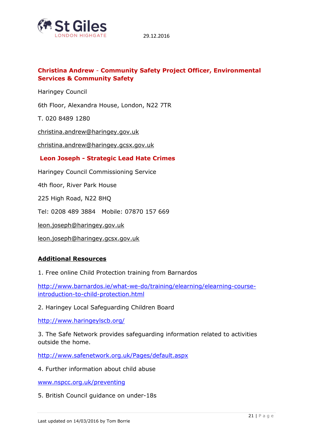

## **Christina Andrew** - **Community Safety Project Officer, Environmental Services & Community Safety**

Haringey Council

6th Floor, Alexandra House, London, N22 7TR

T. 020 8489 1280

[christina.andrew@haringey.gov.uk](mailto:christina.andrew@haringey.gov.uk)

[christina.andrew@haringey.gcsx.gov.uk](mailto:christina.andrew@haringey.gcsx.gov.uk)

#### **Leon Joseph - Strategic Lead Hate Crimes**

Haringey Council Commissioning Service

4th floor, River Park House

225 High Road, N22 8HQ

Tel: 0208 489 3884 Mobile: 07870 157 669

[leon.joseph@haringey.gov.uk](mailto:leon.joseph@haringey.gov.uk)

[leon.joseph@haringey.gcsx.gov.uk](mailto:leon.joseph@haringey.gcsx.gov.uk)

#### **Additional Resources**

1. Free online Child Protection training from Barnardos

[http://www.barnardos.ie/what-we-do/training/elearning/elearning-course](http://www.barnardos.ie/what-we-do/training/elearning/elearning-course-introduction-to-child-protection.html)[introduction-to-child-protection.html](http://www.barnardos.ie/what-we-do/training/elearning/elearning-course-introduction-to-child-protection.html)

2. Haringey Local Safeguarding Children Board

<http://www.haringeylscb.org/>

3. The Safe Network provides safeguarding information related to activities outside the home.

<http://www.safenetwork.org.uk/Pages/default.aspx>

4. Further information about child abuse

[www.nspcc.org.uk/preventing](http://www.nspcc.org.uk/preventing)

5. British Council guidance on under-18s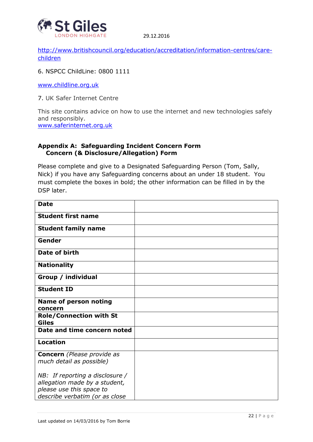

[http://www.britishcouncil.org/education/accreditation/information-centres/care](http://www.britishcouncil.org/education/accreditation/information-centres/care-children)[children](http://www.britishcouncil.org/education/accreditation/information-centres/care-children)

6. NSPCC ChildLine: 0800 1111

[www.childline.org.uk](http://www.childline.org.uk/)

7. UK Safer Internet Centre

This site contains advice on how to use the internet and new technologies safely and responsibly. [www.saferinternet.org.uk](http://www.saferinternet.org.uk/)

## **Appendix A: Safeguarding Incident Concern Form Concern (& Disclosure/Allegation) Form**

Please complete and give to a Designated Safeguarding Person (Tom, Sally, Nick) if you have any Safeguarding concerns about an under 18 student. You must complete the boxes in bold; the other information can be filled in by the DSP later.

| <b>Date</b>                                                                                                                      |  |
|----------------------------------------------------------------------------------------------------------------------------------|--|
| <b>Student first name</b>                                                                                                        |  |
| <b>Student family name</b>                                                                                                       |  |
| Gender                                                                                                                           |  |
| Date of birth                                                                                                                    |  |
| <b>Nationality</b>                                                                                                               |  |
| Group / individual                                                                                                               |  |
| <b>Student ID</b>                                                                                                                |  |
| <b>Name of person noting</b><br>concern                                                                                          |  |
| <b>Role/Connection with St</b><br><b>Giles</b>                                                                                   |  |
| Date and time concern noted                                                                                                      |  |
| <b>Location</b>                                                                                                                  |  |
| <b>Concern</b> (Please provide as<br>much detail as possible)                                                                    |  |
| $NB:$ If reporting a disclosure /<br>allegation made by a student,<br>please use this space to<br>describe verbatim (or as close |  |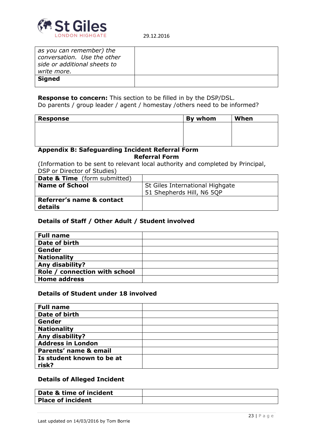

| as you can remember) the<br>conversation. Use the other<br>side or additional sheets to<br>write more. |  |
|--------------------------------------------------------------------------------------------------------|--|
| <b>Signed</b>                                                                                          |  |

**Response to concern:** This section to be filled in by the DSP/DSL. Do parents / group leader / agent / homestay /others need to be informed?

| <b>Response</b> | By whom | When |
|-----------------|---------|------|
|                 |         |      |
|                 |         |      |
|                 |         |      |

#### **Appendix B: Safeguarding Incident Referral Form Referral Form**

(Information to be sent to relevant local authority and completed by Principal, DSP or Director of Studies)

| <b>Date &amp; Time</b> (form submitted) |                                 |
|-----------------------------------------|---------------------------------|
| <b>Name of School</b>                   | St Giles International Highgate |
|                                         | 51 Shepherds Hill, N6 5QP       |
| Referrer's name & contact<br>details    |                                 |

## **Details of Staff / Other Adult / Student involved**

| <b>Full name</b>              |  |
|-------------------------------|--|
| Date of birth                 |  |
| Gender                        |  |
| <b>Nationality</b>            |  |
| Any disability?               |  |
| Role / connection with school |  |
| <b>Home address</b>           |  |

#### **Details of Student under 18 involved**

| <b>Full name</b>          |  |
|---------------------------|--|
| Date of birth             |  |
| Gender                    |  |
| <b>Nationality</b>        |  |
| Any disability?           |  |
| <b>Address in London</b>  |  |
| Parents' name & email     |  |
| Is student known to be at |  |
| risk?                     |  |

#### **Details of Alleged Incident**

| Date & time of incident  |  |
|--------------------------|--|
| <b>Place of incident</b> |  |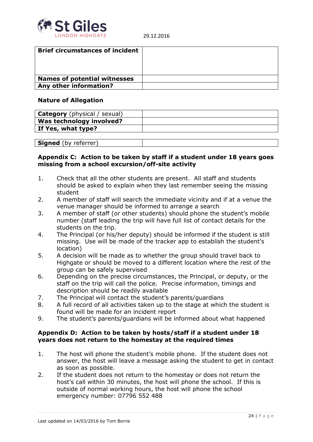

| <b>Brief circumstances of incident</b> |  |
|----------------------------------------|--|
|                                        |  |
|                                        |  |
|                                        |  |
| <b>Names of potential witnesses</b>    |  |
| Any other information?                 |  |

#### **Nature of Allegation**

| <b>Category</b> (physical / sexual) |  |
|-------------------------------------|--|
| <b>Was technology involved?</b>     |  |
| If Yes, what type?                  |  |
|                                     |  |

| <b>Signed</b><br>$h_{1}$<br>---<br>. |  |
|--------------------------------------|--|

## **Appendix C: Action to be taken by staff if a student under 18 years goes missing from a school excursion/off-site activity**

- 1. Check that all the other students are present. All staff and students should be asked to explain when they last remember seeing the missing student
- 2. A member of staff will search the immediate vicinity and if at a venue the venue manager should be informed to arrange a search
- 3. A member of staff (or other students) should phone the student's mobile number (staff leading the trip will have full list of contact details for the students on the trip.
- 4. The Principal (or his/her deputy) should be informed if the student is still missing. Use will be made of the tracker app to establish the student's location)
- 5. A decision will be made as to whether the group should travel back to Highgate or should be moved to a different location where the rest of the group can be safely supervised
- 6. Depending on the precise circumstances, the Principal, or deputy, or the staff on the trip will call the police. Precise information, timings and description should be readily available
- 7. The Principal will contact the student's parents/guardians
- 8. A full record of all activities taken up to the stage at which the student is found will be made for an incident report
- 9. The student's parents/guardians will be informed about what happened

## **Appendix D: Action to be taken by hosts/staff if a student under 18 years does not return to the homestay at the required times**

- 1. The host will phone the student's mobile phone. If the student does not answer, the host will leave a message asking the student to get in contact as soon as possible.
- 2. If the student does not return to the homestay or does not return the host's call within 30 minutes, the host will phone the school. If this is outside of normal working hours, the host will phone the school emergency number: 07796 552 488